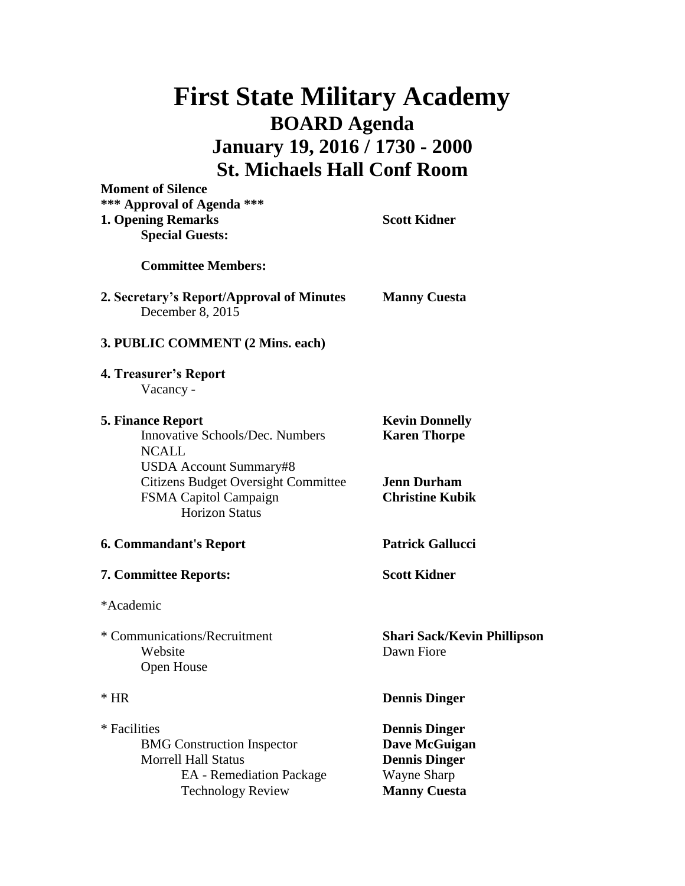## **First State Military Academy BOARD Agenda January 19, 2016 / 1730 - 2000 St. Michaels Hall Conf Room**

**Moment of Silence**

| *** Approval of Agenda ***<br><b>1. Opening Remarks</b><br><b>Special Guests:</b>                                                              | <b>Scott Kidner</b>                                                                                 |
|------------------------------------------------------------------------------------------------------------------------------------------------|-----------------------------------------------------------------------------------------------------|
| <b>Committee Members:</b>                                                                                                                      |                                                                                                     |
| 2. Secretary's Report/Approval of Minutes<br>December 8, 2015                                                                                  | <b>Manny Cuesta</b>                                                                                 |
| 3. PUBLIC COMMENT (2 Mins. each)                                                                                                               |                                                                                                     |
| 4. Treasurer's Report<br>Vacancy -                                                                                                             |                                                                                                     |
| <b>5. Finance Report</b><br>Innovative Schools/Dec. Numbers<br><b>NCALL</b><br><b>USDA Account Summary#8</b>                                   | <b>Kevin Donnelly</b><br><b>Karen Thorpe</b>                                                        |
| <b>Citizens Budget Oversight Committee</b><br>FSMA Capitol Campaign<br><b>Horizon Status</b>                                                   | <b>Jenn Durham</b><br><b>Christine Kubik</b>                                                        |
| <b>6. Commandant's Report</b>                                                                                                                  | <b>Patrick Gallucci</b>                                                                             |
| <b>7. Committee Reports:</b>                                                                                                                   | <b>Scott Kidner</b>                                                                                 |
| *Academic                                                                                                                                      |                                                                                                     |
| * Communications/Recruitment<br>Website<br>Open House                                                                                          | <b>Shari Sack/Kevin Phillipson</b><br>Dawn Fiore                                                    |
| $*$ HR                                                                                                                                         | <b>Dennis Dinger</b>                                                                                |
| * Facilities<br><b>BMG</b> Construction Inspector<br><b>Morrell Hall Status</b><br><b>EA</b> - Remediation Package<br><b>Technology Review</b> | <b>Dennis Dinger</b><br>Dave McGuigan<br><b>Dennis Dinger</b><br>Wayne Sharp<br><b>Manny Cuesta</b> |